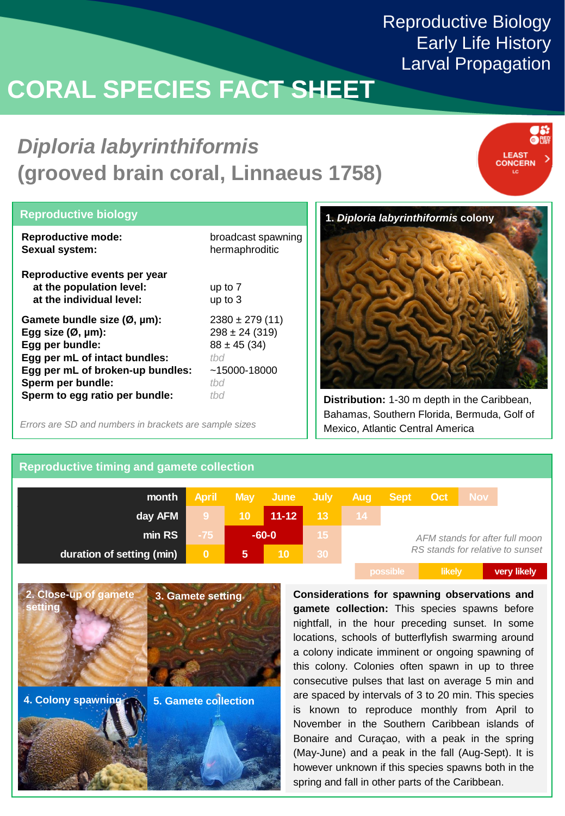# **CORAL SPECIES FACT SHEET**

## *Diploria labyrinthiformis*  **(grooved brain coral, Linnaeus 1758)**



| <b>Reproductive biology</b>                                                          |                    |
|--------------------------------------------------------------------------------------|--------------------|
| <b>Reproductive mode:</b>                                                            | broadcast spawning |
| Sexual system:                                                                       | hermaphroditic     |
| Reproductive events per year<br>at the population level:<br>at the individual level: | up to 7<br>up to 3 |
| Gamete bundle size $(\emptyset, \mu m)$ :                                            | $2380 \pm 279(11)$ |
| Egg size $(\emptyset, \mu m)$ :                                                      | $298 \pm 24$ (319) |
| Egg per bundle:                                                                      | $88 \pm 45 (34)$   |
| Egg per mL of intact bundles:                                                        | thd                |
| Egg per mL of broken-up bundles:                                                     | $~15000 - 18000$   |
| Sperm per bundle:                                                                    | thd                |
| Sperm to egg ratio per bundle:                                                       | thd                |

Mexico, Atlantic Central America *Errors are SD and numbers in brackets are sample sizes*



**Distribution:** 1-30 m depth in the Caribbean, Bahamas, Southern Florida, Bermuda, Golf of

### **Reproductive timing and gamete collection**

| month                     | <b>April</b> |                 | May June July   |                 | Aug             | Sept Oct                         |        | Nov 1 |             |
|---------------------------|--------------|-----------------|-----------------|-----------------|-----------------|----------------------------------|--------|-------|-------------|
| day AFM                   | -9           | 10 <sup>°</sup> | $11 - 12$       | 13 <sup>°</sup> | 14 <sup>2</sup> |                                  |        |       |             |
| min RS                    | $-75$        | $-60-0$         |                 | 15 <sup>2</sup> |                 | AFM stands for after full moon   |        |       |             |
| duration of setting (min) | $\mathbf{0}$ | $\overline{5}$  | 10 <sup>°</sup> | 30 <sub>1</sub> |                 | RS stands for relative to sunset |        |       |             |
|                           |              |                 |                 |                 |                 | possible                         | likely |       | very likely |



**Considerations for spawning observations and gamete collection:** This species spawns before nightfall, in the hour preceding sunset. In some locations, schools of butterflyfish swarming around a colony indicate imminent or ongoing spawning of this colony. Colonies often spawn in up to three consecutive pulses that last on average 5 min and are spaced by intervals of 3 to 20 min. This species is known to reproduce monthly from April to November in the Southern Caribbean islands of Bonaire and Curaçao, with a peak in the spring (May-June) and a peak in the fall (Aug-Sept). It is however unknown if this species spawns both in the spring and fall in other parts of the Caribbean.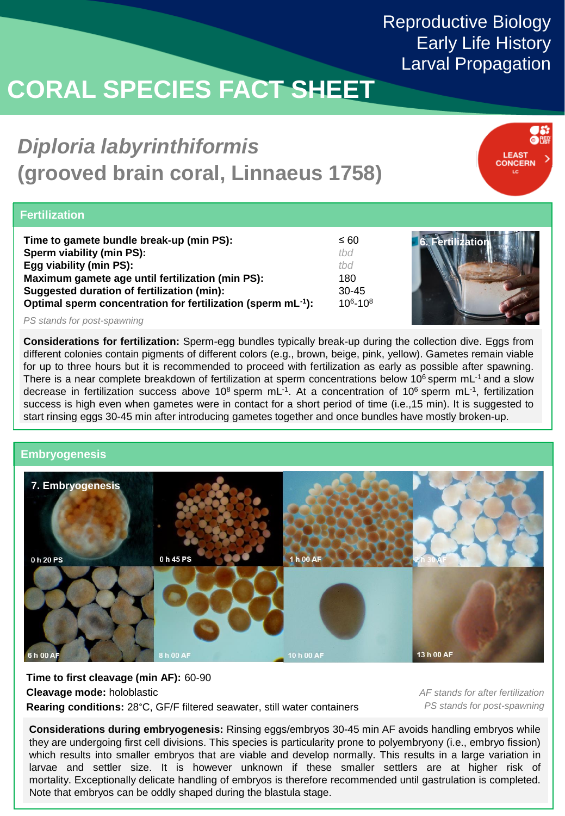# **CORAL SPECIES FACT SHEET**

## *Diploria labyrinthiformis*  **(grooved brain coral, Linnaeus 1758)**



### **Fertilization**

| Time to gamete bundle break-up (min PS):                                 | ≤ 60        |
|--------------------------------------------------------------------------|-------------|
| Sperm viability (min PS):                                                | thd         |
| Egg viability (min PS):                                                  | thd         |
| Maximum gamete age until fertilization (min PS):                         | 180         |
| Suggested duration of fertilization (min):                               | $30 - 45$   |
| Optimal sperm concentration for fertilization (sperm mL <sup>-1</sup> ): | $106 - 108$ |



*PS stands for post-spawning*

**Considerations for fertilization:** Sperm-egg bundles typically break-up during the collection dive. Eggs from different colonies contain pigments of different colors (e.g., brown, beige, pink, yellow). Gametes remain viable for up to three hours but it is recommended to proceed with fertilization as early as possible after spawning. There is a near complete breakdown of fertilization at sperm concentrations below 10<sup>6</sup> sperm mL<sup>-1</sup> and a slow decrease in fertilization success above 10<sup>8</sup> sperm mL<sup>-1</sup>. At a concentration of 10<sup>6</sup> sperm mL<sup>-1</sup>, fertilization success is high even when gametes were in contact for a short period of time (i.e.,15 min). It is suggested to start rinsing eggs 30-45 min after introducing gametes together and once bundles have mostly broken-up.

### **Embryogenesis**



**Time to first cleavage (min AF):** 60-90 **Cleavage mode:** holoblastic **Rearing conditions:** 28°C, GF/F filtered seawater, still water containers

*AF stands for after fertilization PS stands for post-spawning*

**Considerations during embryogenesis:** Rinsing eggs/embryos 30-45 min AF avoids handling embryos while they are undergoing first cell divisions. This species is particularity prone to polyembryony (i.e., embryo fission) which results into smaller embryos that are viable and develop normally. This results in a large variation in larvae and settler size. It is however unknown if these smaller settlers are at higher risk of mortality. Exceptionally delicate handling of embryos is therefore recommended until gastrulation is completed. Note that embryos can be oddly shaped during the blastula stage.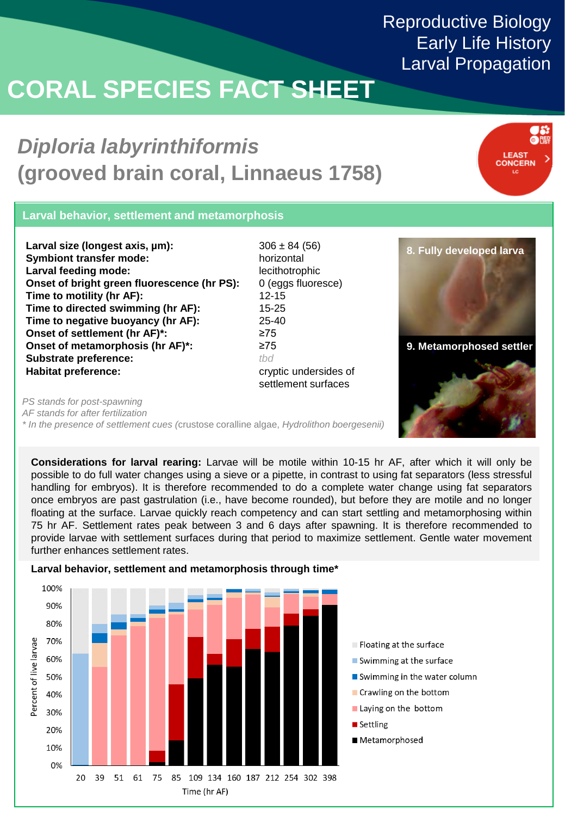# **CORAL SPECIES FACT SHEET**

## *Diploria labyrinthiformis*  **(grooved brain coral, Linnaeus 1758)**



### **Larval behavior, settlement and metamorphosis**

**Larval size (longest axis, µm): Symbiont transfer mode: Larval feeding mode: Onset of bright green fluorescence (hr PS): Time to motility (hr AF): Time to directed swimming (hr AF): Time to negative buoyancy (hr AF): Onset of settlement (hr AF)\*: Onset of metamorphosis (hr AF)\*: Substrate preference: Habitat preference:**

 $306 \pm 84 (56)$ horizontal lecithotrophic 0 (eggs fluoresce) 12-15 15-25 25-40 ≥75 ≥75 *tbd* cryptic undersides of settlement surfaces



*PS stands for post-spawning*

*AF stands for after fertilization*

*\* In the presence of settlement cues (*crustose coralline algae, *Hydrolithon boergesenii)*

**Considerations for larval rearing:** Larvae will be motile within 10-15 hr AF, after which it will only be possible to do full water changes using a sieve or a pipette, in contrast to using fat separators (less stressful handling for embryos). It is therefore recommended to do a complete water change using fat separators once embryos are past gastrulation (i.e., have become rounded), but before they are motile and no longer floating at the surface. Larvae quickly reach competency and can start settling and metamorphosing within 75 hr AF. Settlement rates peak between 3 and 6 days after spawning. It is therefore recommended to provide larvae with settlement surfaces during that period to maximize settlement. Gentle water movement further enhances settlement rates.



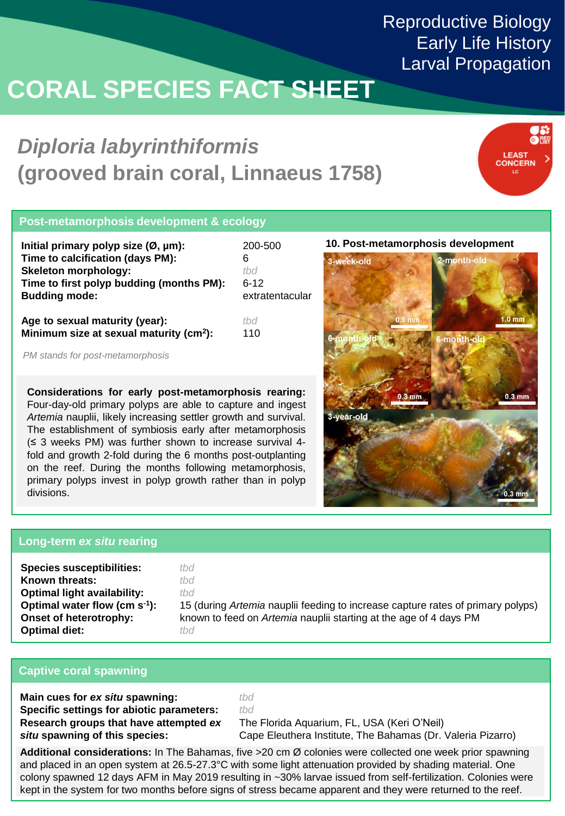# **CORAL SPECIES FACT SHEET**

## *Diploria labyrinthiformis*  **(grooved brain coral, Linnaeus 1758)**



### **Post-metamorphosis development & ecology**

| Initial primary polyp size $(\emptyset, \mu m)$ : | 200-500         |
|---------------------------------------------------|-----------------|
| Time to calcification (days PM):                  | 6               |
| <b>Skeleton morphology:</b>                       | thd             |
| Time to first polyp budding (months PM):          | $6-12$          |
| <b>Budding mode:</b>                              | extratentacular |
| Age to sexual maturity (year):                    |                 |

**Age to sexual maturity (year): Minimum size at sexual maturity (cm<sup>2</sup> ):**

*PM stands for post-metamorphosis*

**Considerations for early post-metamorphosis rearing:** Four-day-old primary polyps are able to capture and ingest *Artemia* nauplii, likely increasing settler growth and survival. The establishment of symbiosis early after metamorphosis (≤ 3 weeks PM) was further shown to increase survival 4 fold and growth 2-fold during the 6 months post-outplanting on the reef. During the months following metamorphosis, primary polyps invest in polyp growth rather than in polyp divisions.

#### **10. Post-metamorphosis development**



### **Long-term** *ex situ* **rearing**

| <b>Species susceptibilities:</b>   | tbd                                                                             |
|------------------------------------|---------------------------------------------------------------------------------|
| Known threats:                     | tbd                                                                             |
| <b>Optimal light availability:</b> | tbd                                                                             |
| Optimal water flow (cm $s^{-1}$ ): | 15 (during Artemia nauplii feeding to increase capture rates of primary polyps) |
| Onset of heterotrophy:             | known to feed on Artemia nauplii starting at the age of 4 days PM               |
| <b>Optimal diet:</b>               | tbd                                                                             |

#### **Captive coral spawning**

**Main cues for** *ex situ* **spawning: Specific settings for abiotic parameters: Research groups that have attempted** *ex situ* **spawning of this species:**

*tbd tbd*

110

The Florida Aquarium, FL, USA (Keri O'Neil) Cape Eleuthera Institute, The Bahamas (Dr. Valeria Pizarro)

**Additional considerations:** In The Bahamas, five >20 cm Ø colonies were collected one week prior spawning and placed in an open system at 26.5-27.3°C with some light attenuation provided by shading material. One colony spawned 12 days AFM in May 2019 resulting in ~30% larvae issued from self-fertilization. Colonies were kept in the system for two months before signs of stress became apparent and they were returned to the reef.